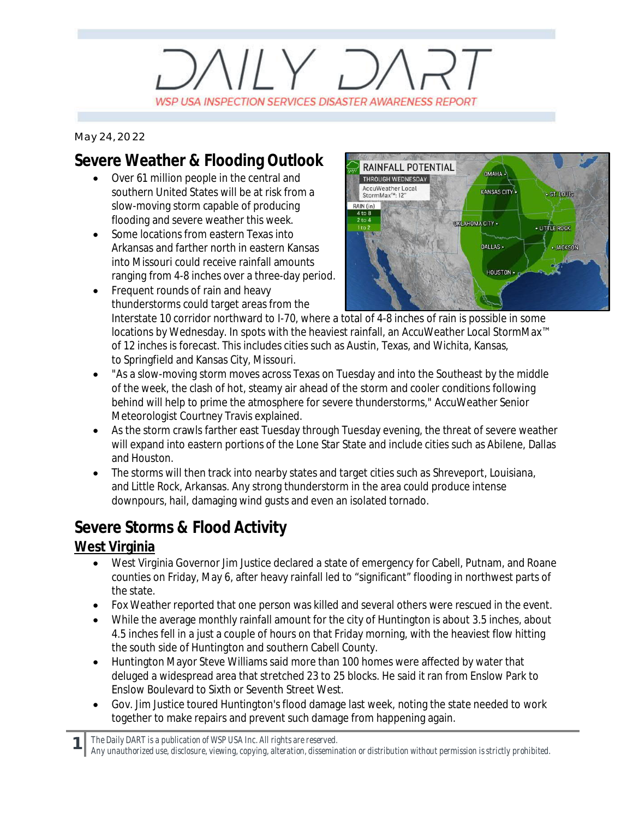# $V/Y$ WSP USA INSPECTION SERVICES DISASTER AWARENESS REPORT

*May 24, 2022*

## **Severe Weather & Flooding Outlook**

- · Over 61 million people in the central and southern United States will be at risk from a slow-moving storm capable of producing flooding and severe weather this week.
- · Some locations from eastern Texas into Arkansas and farther north in eastern Kansas into Missouri could receive rainfall amounts ranging from 4-8 inches over a three-day period.



- Frequent rounds of rain and heavy thunderstorms could target areas from the Interstate 10 corridor northward to I-70, where a total of 4-8 inches of rain is possible in some locations by Wednesday. In spots with the heaviest rainfall, an AccuWeather Local StormMax™ of 12 inches is forecast. This includes cities such as Austin, Texas, and Wichita, Kansas, to Springfield and Kansas City, Missouri.
- · "As a slow-moving storm moves across Texas on Tuesday and into the Southeast by the middle of the week, the clash of hot, steamy air ahead of the storm and cooler conditions following behind will help to prime the atmosphere for severe thunderstorms," AccuWeather Senior Meteorologist Courtney Travis explained.
- · As the storm crawls farther east Tuesday through Tuesday evening, the threat of severe weather will expand into eastern portions of the Lone Star State and include cities such as Abilene, Dallas and Houston.
- · The storms will then track into nearby states and target cities such as Shreveport, Louisiana, and Little Rock, Arkansas. Any strong thunderstorm in the area could produce intense downpours, hail, damaging wind gusts and even an isolated tornado.

### **Severe Storms & Flood Activity**

#### **West Virginia**

- · West Virginia Governor Jim Justice declared a state of emergency for Cabell, Putnam, and Roane counties on Friday, May 6, after heavy rainfall led to "significant" flooding in northwest parts of the state.
- Fox Weather reported that one person was killed and several others were rescued in the event.
- · While the average monthly rainfall amount for the city of Huntington is about 3.5 inches, about 4.5 inches fell in a just a couple of hours on that Friday morning, with the heaviest flow hitting the south side of Huntington and southern Cabell County.
- · Huntington Mayor Steve Williams said more than 100 homes were affected by water that deluged a widespread area that stretched 23 to 25 blocks. He said it ran from Enslow Park to Enslow Boulevard to Sixth or Seventh Street West.
- · Gov. Jim Justice toured Huntington's flood damage last week, noting the state needed to work together to make repairs and prevent such damage from happening again.

*The Daily DART is a publication of WSP USA Inc. All rights are reserved.*

**1**

*Any unauthorized use, disclosure, viewing, copying, alteration, dissemination or distribution without permission is strictly prohibited.*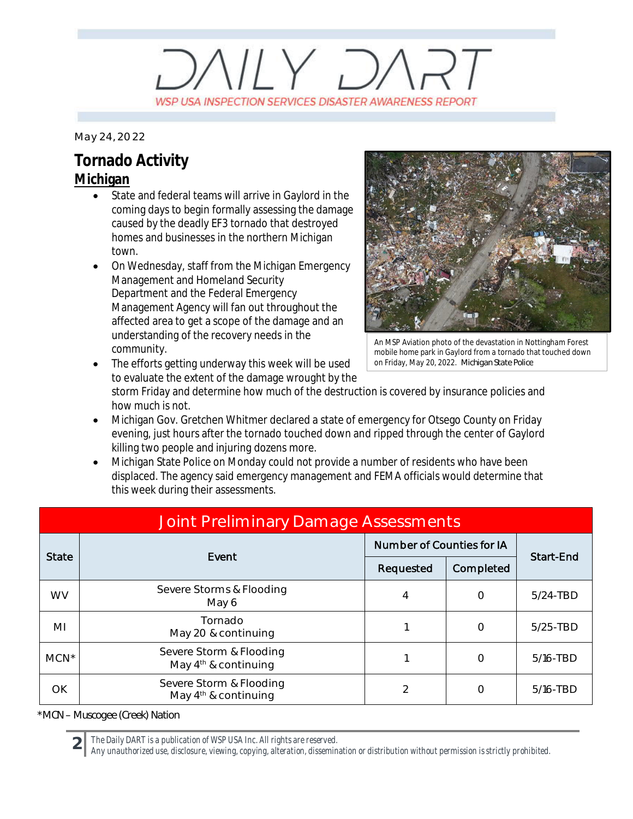# $VUV$   $D/$ WSP USA INSPECTION SERVICES DISASTER AWARENESS REPORT

*May 24, 2022*

## **Tornado Activity**

#### **Michigan**

- State and federal teams will arrive in Gaylord in the coming days to begin formally assessing the damage caused by the deadly EF3 tornado that destroyed homes and businesses in the northern Michigan town.
- On Wednesday, staff from the Michigan Emergency Management and Homeland Security Department and the Federal Emergency Management Agency will fan out throughout the affected area to get a scope of the damage and an understanding of the recovery needs in the community.

The efforts getting underway this week will be used



An MSP Aviation photo of the devastation in Nottingham Forest mobile home park in Gaylord from a tornado that touched down on Friday, May 20, 2022. *Michigan State Police*

to evaluate the extent of the damage wrought by the storm Friday and determine how much of the destruction is covered by insurance policies and how much is not.

- · Michigan Gov. Gretchen Whitmer declared a state of emergency for Otsego County on Friday evening, just hours after the tornado touched down and ripped through the center of Gaylord killing two people and injuring dozens more.
- Michigan State Police on Monday could not provide a number of residents who have been displaced. The agency said emergency management and FEMA officials would determine that this week during their assessments.

| Joint Preliminary Damage Assessments |                                                   |                           |           |              |  |  |
|--------------------------------------|---------------------------------------------------|---------------------------|-----------|--------------|--|--|
| <b>State</b>                         | Event                                             | Number of Counties for IA |           |              |  |  |
|                                      |                                                   | Requested                 | Completed | Start-End    |  |  |
| <b>WV</b>                            | Severe Storms & Flooding<br>May 6                 | $\overline{4}$            | $\Omega$  | $5/24$ -TBD  |  |  |
| ΜI                                   | Tornado<br>May 20 & continuing                    |                           | $\Omega$  | $5/25 - TBD$ |  |  |
| $MCN^*$                              | Severe Storm & Flooding<br>May $4th$ & continuing |                           | $\Omega$  | $5/16 - TBD$ |  |  |
| OK                                   | Severe Storm & Flooding<br>May $4th$ & continuing | $\mathfrak{D}$            | $\Omega$  | 5/16-TBD     |  |  |

*\*MCN – Muscogee (Creek) Nation*

**2**

*The Daily DART is a publication of WSP USA Inc. All rights are reserved.*

*Any unauthorized use, disclosure, viewing, copying, alteration, dissemination or distribution without permission is strictly prohibited.*